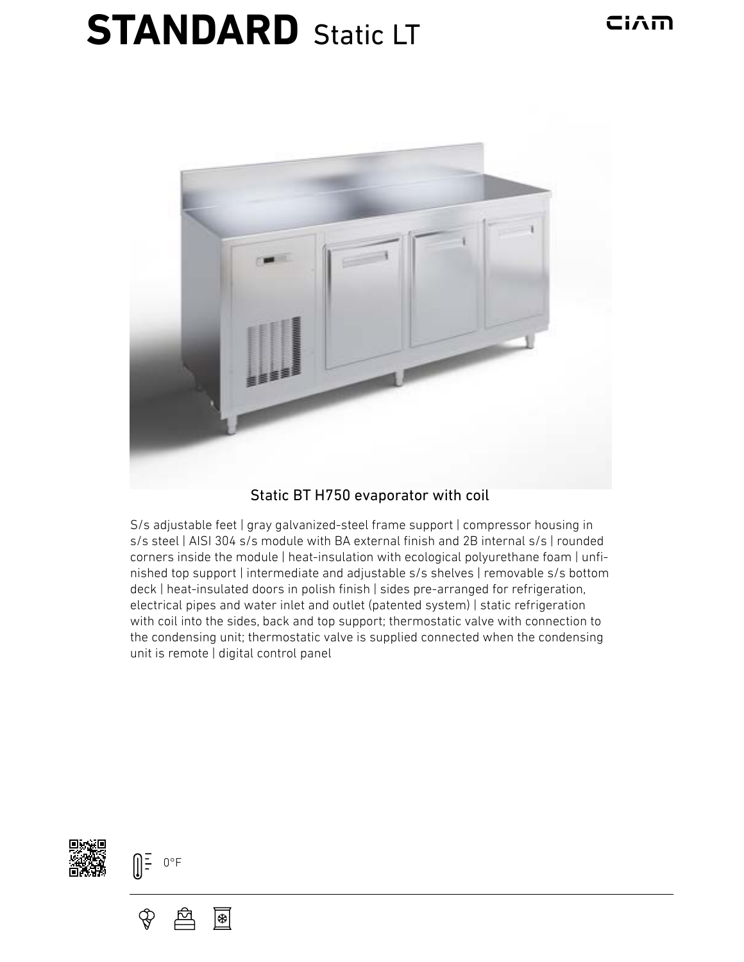## **STANDARD** Static LT



## Static BT H750 evaporator with coil

S/s adjustable feet | gray galvanized-steel frame support | compressor housing in s/s steel | AISI 304 s/s module with BA external finish and 2B internal s/s | rounded corners inside the module | heat-insulation with ecological polyurethane foam | unfinished top support | intermediate and adjustable s/s shelves | removable s/s bottom deck | heat-insulated doors in polish finish | sides pre-arranged for refrigeration, electrical pipes and water inlet and outlet (patented system) | static refrigeration with coil into the sides, back and top support; thermostatic valve with connection to the condensing unit; thermostatic valve is supplied connected when the condensing unit is remote | digital control panel





圈

Ҿ